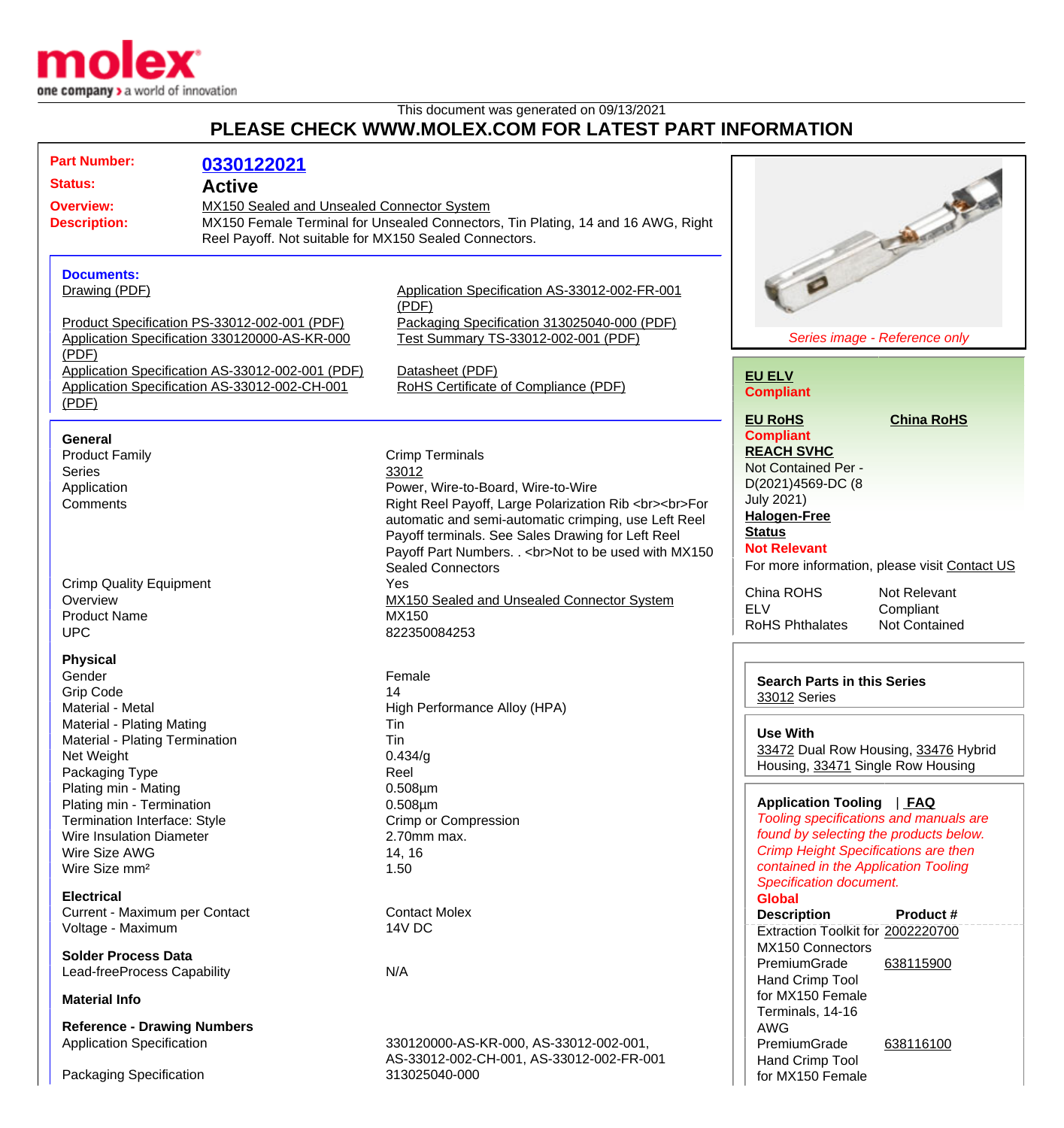

## This document was generated on 09/13/2021 **PLEASE CHECK WWW.MOLEX.COM FOR LATEST PART INFORMATION**

| <b>Part Number:</b>                                                                           | 0330122021 |                                                                                  |                                               |
|-----------------------------------------------------------------------------------------------|------------|----------------------------------------------------------------------------------|-----------------------------------------------|
| <b>Status:</b><br><b>Active</b>                                                               |            |                                                                                  |                                               |
| <b>Overview:</b><br>MX150 Sealed and Unsealed Connector System                                |            |                                                                                  |                                               |
| <b>Description:</b>                                                                           |            | MX150 Female Terminal for Unsealed Connectors, Tin Plating, 14 and 16 AWG, Right |                                               |
| Reel Payoff. Not suitable for MX150 Sealed Connectors.                                        |            |                                                                                  | <b>Children</b>                               |
|                                                                                               |            |                                                                                  |                                               |
|                                                                                               |            |                                                                                  |                                               |
| <b>Documents:</b>                                                                             |            | Application Specification AS-33012-002-FR-001                                    |                                               |
| Drawing (PDF)                                                                                 |            | (PDF)                                                                            |                                               |
|                                                                                               |            | Packaging Specification 313025040-000 (PDF)                                      |                                               |
| Product Specification PS-33012-002-001 (PDF)<br>Application Specification 330120000-AS-KR-000 |            | Test Summary TS-33012-002-001 (PDF)                                              | Series image - Reference only                 |
| (PDF)                                                                                         |            |                                                                                  |                                               |
| Application Specification AS-33012-002-001 (PDF)                                              |            | Datasheet (PDF)                                                                  |                                               |
| Application Specification AS-33012-002-CH-001                                                 |            | RoHS Certificate of Compliance (PDF)                                             | <b>EU ELV</b>                                 |
| (PDF)                                                                                         |            |                                                                                  | <b>Compliant</b>                              |
|                                                                                               |            |                                                                                  | <b>EU RoHS</b><br><b>China RoHS</b>           |
|                                                                                               |            |                                                                                  | <b>Compliant</b>                              |
| <b>General</b>                                                                                |            |                                                                                  | <b>REACH SVHC</b>                             |
| <b>Product Family</b>                                                                         |            | <b>Crimp Terminals</b>                                                           | Not Contained Per -                           |
| <b>Series</b>                                                                                 |            | 33012                                                                            |                                               |
| Application                                                                                   |            | Power, Wire-to-Board, Wire-to-Wire                                               | D(2021)4569-DC (8                             |
| Comments                                                                                      |            | Right Reel Payoff, Large Polarization Rib<br>>>br>For                            | <b>July 2021)</b>                             |
|                                                                                               |            | automatic and semi-automatic crimping, use Left Reel                             | <b>Halogen-Free</b>                           |
|                                                                                               |            | Payoff terminals. See Sales Drawing for Left Reel                                | <b>Status</b>                                 |
|                                                                                               |            | Payoff Part Numbers. . < br>Not to be used with MX150                            | <b>Not Relevant</b>                           |
|                                                                                               |            | <b>Sealed Connectors</b>                                                         | For more information, please visit Contact US |
| <b>Crimp Quality Equipment</b>                                                                |            | Yes                                                                              | China ROHS<br>Not Relevant                    |
| Overview                                                                                      |            | MX150 Sealed and Unsealed Connector System                                       | <b>ELV</b><br>Compliant                       |
| <b>Product Name</b>                                                                           |            | MX150                                                                            | <b>RoHS Phthalates</b><br>Not Contained       |
| <b>UPC</b>                                                                                    |            | 822350084253                                                                     |                                               |
| <b>Physical</b>                                                                               |            |                                                                                  |                                               |
| Gender                                                                                        |            | Female                                                                           |                                               |
| <b>Grip Code</b>                                                                              |            | 14                                                                               | <b>Search Parts in this Series</b>            |
| Material - Metal                                                                              |            | High Performance Alloy (HPA)                                                     | 33012 Series                                  |
| Material - Plating Mating                                                                     |            | Tin                                                                              |                                               |
| Material - Plating Termination                                                                |            | Tin                                                                              | <b>Use With</b>                               |
| Net Weight                                                                                    |            | 0.434/g                                                                          | 33472 Dual Row Housing, 33476 Hybrid          |
| Packaging Type                                                                                |            | Reel                                                                             | Housing, 33471 Single Row Housing             |
| Plating min - Mating                                                                          |            | $0.508 \mu m$                                                                    |                                               |
| Plating min - Termination                                                                     |            | $0.508 \mu m$                                                                    | Application Tooling   FAQ                     |
| Termination Interface: Style                                                                  |            | Crimp or Compression                                                             | Tooling specifications and manuals are        |
| <b>Wire Insulation Diameter</b>                                                               |            | 2.70mm max.                                                                      | found by selecting the products below.        |
| Wire Size AWG                                                                                 |            | 14, 16                                                                           | <b>Crimp Height Specifications are then</b>   |
| Wire Size mm <sup>2</sup>                                                                     |            | 1.50                                                                             | contained in the Application Tooling          |
|                                                                                               |            |                                                                                  | <b>Specification document.</b>                |
| <b>Electrical</b>                                                                             |            |                                                                                  | <b>Global</b>                                 |
| Current - Maximum per Contact                                                                 |            | <b>Contact Molex</b>                                                             | <b>Description</b><br>Product #               |
| Voltage - Maximum                                                                             |            | 14V DC                                                                           | Extraction Toolkit for 2002220700             |
|                                                                                               |            |                                                                                  | MX150 Connectors                              |
| <b>Solder Process Data</b>                                                                    |            |                                                                                  | PremiumGrade<br>638115900                     |
| Lead-freeProcess Capability                                                                   |            | N/A                                                                              | Hand Crimp Tool                               |
|                                                                                               |            |                                                                                  | for MX150 Female                              |
| <b>Material Info</b>                                                                          |            |                                                                                  | Terminals, 14-16                              |
| <b>Reference - Drawing Numbers</b>                                                            |            |                                                                                  | <b>AWG</b>                                    |
| <b>Application Specification</b>                                                              |            | 330120000-AS-KR-000, AS-33012-002-001,                                           | PremiumGrade<br>638116100                     |
|                                                                                               |            | AS-33012-002-CH-001, AS-33012-002-FR-001                                         | Hand Crimp Tool                               |
| Packaging Specification                                                                       |            | 313025040-000                                                                    | for MX150 Female                              |
|                                                                                               |            |                                                                                  |                                               |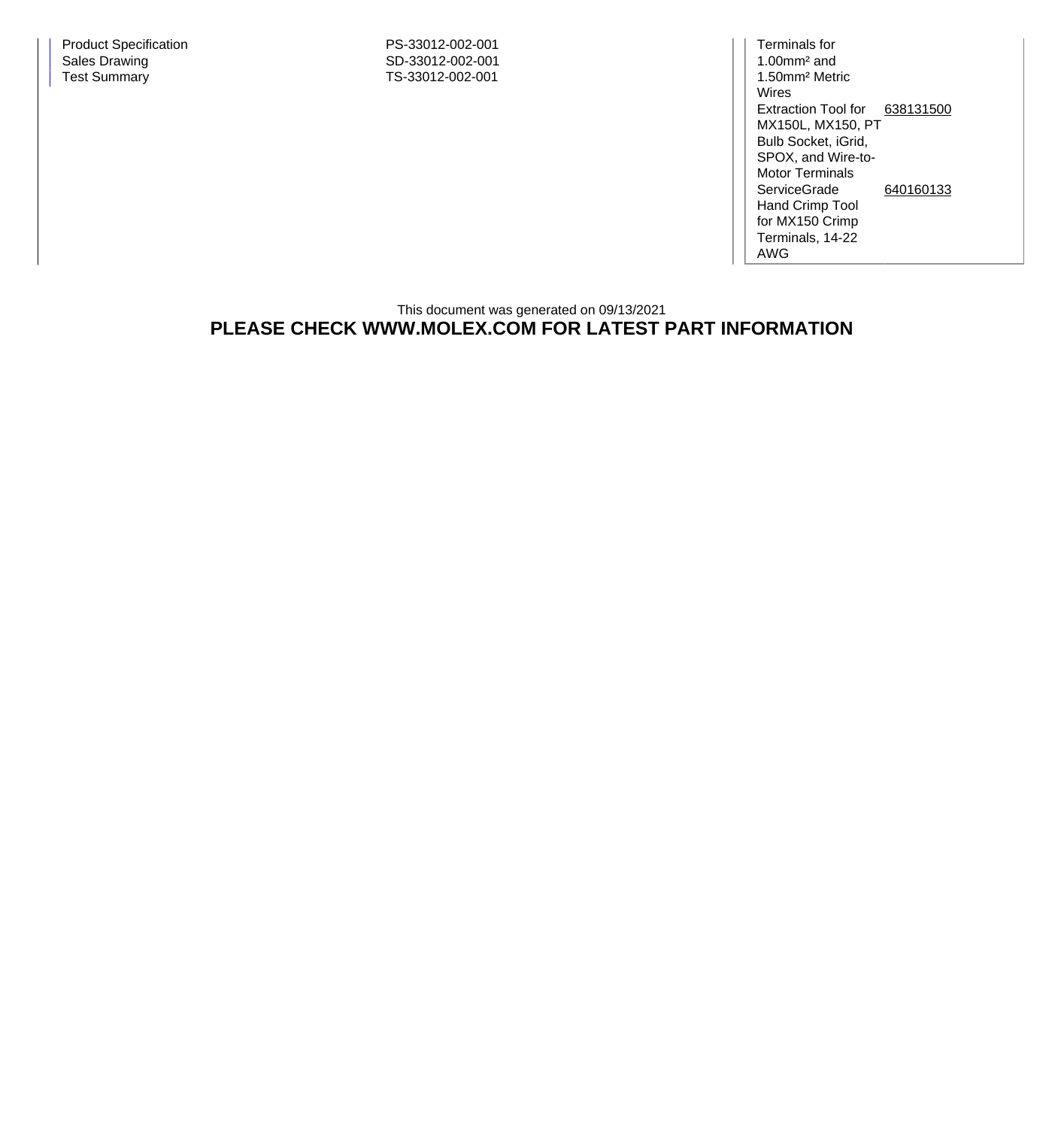Terminals for 1.00mm² and 1.50mm² Metric Wires Extraction Tool for [638131500](http://www.molex.com/molex/products/datasheet.jsp?part=active/0638131500_APPLICATION_TOOLIN.xml) MX150L, MX150, PT Bulb Socket, iGrid, SPOX, and Wire-to-Motor Terminals **ServiceGrade** Hand Crimp Tool for MX150 Crimp Terminals, 14-22 AWG [640160133](http://www.molex.com/molex/products/datasheet.jsp?part=active/0640160133_APPLICATION_TOOLIN.xml)

## This document was generated on 09/13/2021 **PLEASE CHECK WWW.MOLEX.COM FOR LATEST PART INFORMATION**